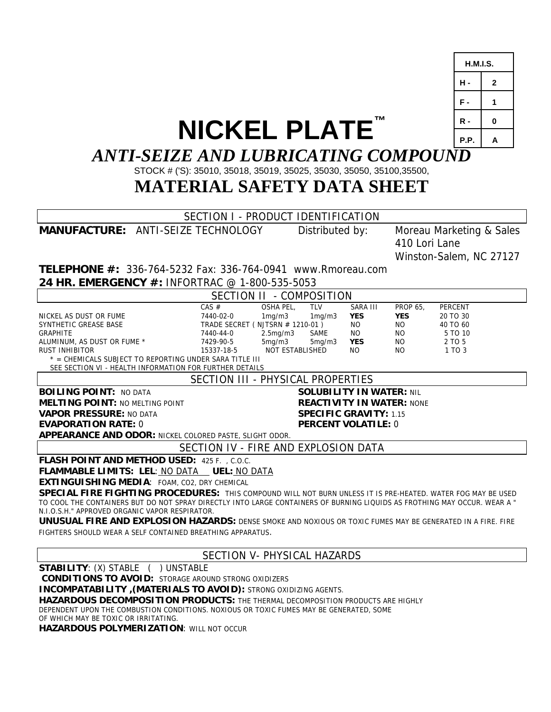|                                                                                                                                                                           |                                                       |                        |                               | H.M.I.S.                 |              |  |  |
|---------------------------------------------------------------------------------------------------------------------------------------------------------------------------|-------------------------------------------------------|------------------------|-------------------------------|--------------------------|--------------|--|--|
|                                                                                                                                                                           |                                                       |                        |                               | н.                       | $\mathbf{2}$ |  |  |
|                                                                                                                                                                           |                                                       |                        |                               | F-                       | 1            |  |  |
|                                                                                                                                                                           |                                                       |                        |                               | R -                      | 0            |  |  |
| <b>NICKEL PLATE™</b>                                                                                                                                                      |                                                       |                        |                               | P.P.                     | A            |  |  |
| <b>ANTI-SEIZE AND LUBRICATING COMPOUND</b>                                                                                                                                |                                                       |                        |                               |                          |              |  |  |
| STOCK # ('S): 35010, 35018, 35019, 35025, 35030, 35050, 35100, 35500,                                                                                                     |                                                       |                        |                               |                          |              |  |  |
| <b>MATERIAL SAFETY DATA SHEET</b>                                                                                                                                         |                                                       |                        |                               |                          |              |  |  |
|                                                                                                                                                                           |                                                       |                        |                               |                          |              |  |  |
| <b>MANUFACTURE: ANTI-SEIZE TECHNOLOGY</b>                                                                                                                                 | SECTION I - PRODUCT IDENTIFICATION<br>Distributed by: |                        |                               | Moreau Marketing & Sales |              |  |  |
|                                                                                                                                                                           |                                                       |                        | 410 Lori Lane                 |                          |              |  |  |
|                                                                                                                                                                           |                                                       |                        | Winston-Salem, NC 27127       |                          |              |  |  |
| <b>TELEPHONE #: 336-764-5232 Fax: 336-764-0941 www.Rmoreau.com</b>                                                                                                        |                                                       |                        |                               |                          |              |  |  |
| 24 HR. EMERGENCY #: INFORTRAC @ 1-800-535-5053                                                                                                                            |                                                       |                        |                               |                          |              |  |  |
|                                                                                                                                                                           | SECTION II - COMPOSITION                              |                        |                               |                          |              |  |  |
| CAS #<br>NICKEL AS DUST OR FUME<br>7440-02-0                                                                                                                              | OSHA PEL,<br><b>TLV</b><br>1mg/m3<br>1mg/m3           | SARA III<br><b>YES</b> | <b>PROP 65,</b><br><b>YES</b> | PERCENT<br>20 TO 30      |              |  |  |
| SYNTHETIC GREASE BASE                                                                                                                                                     | TRADE SECRET (NJTSRN # 1210-01)                       | <b>NO</b>              | NO.                           | 40 TO 60                 |              |  |  |
| GRAPHITE<br>7440-44-0<br>ALUMINUM, AS DUST OR FUME *<br>7429-90-5                                                                                                         | 2.5mg/m3<br>SAME<br>5mg/m3<br>5mg/m3                  | NO.<br><b>YES</b>      | NO.<br>NO.                    | 5 TO 10<br>2 TO 5        |              |  |  |
| RUST INHIBITOR<br>15337-18-5                                                                                                                                              | NOT ESTABLISHED                                       | NO.                    | NO.                           | 1 TO 3                   |              |  |  |
| * = CHEMICALS SUBJECT TO REPORTING UNDER SARA TITLE III<br>SEE SECTION VI - HEALTH INFORMATION FOR FURTHER DETAILS                                                        |                                                       |                        |                               |                          |              |  |  |
|                                                                                                                                                                           | SECTION III - PHYSICAL PROPERTIES                     |                        |                               |                          |              |  |  |
| <b>BOILING POINT: NO DATA</b><br><b>SOLUBILITY IN WATER: NIL</b>                                                                                                          |                                                       |                        |                               |                          |              |  |  |
| <b>REACTIVITY IN WATER: NONE</b><br><b>MELTING POINT: NO MELTING POINT</b>                                                                                                |                                                       |                        |                               |                          |              |  |  |
| <b>VAPOR PRESSURE: NO DATA</b><br><b>SPECIFIC GRAVITY: 1.15</b><br><b>EVAPORATION RATE: 0</b><br><b>PERCENT VOLATILE: 0</b>                                               |                                                       |                        |                               |                          |              |  |  |
| <b>APPEARANCE AND ODOR: NICKEL COLORED PASTE, SLIGHT ODOR.</b>                                                                                                            |                                                       |                        |                               |                          |              |  |  |
| SECTION IV - FIRE AND EXPLOSION DATA                                                                                                                                      |                                                       |                        |                               |                          |              |  |  |
| FLASH POINT AND METHOD USED: 425 F. , C.O.C.                                                                                                                              |                                                       |                        |                               |                          |              |  |  |
|                                                                                                                                                                           |                                                       |                        |                               |                          |              |  |  |
| EXTINGUISHING MEDIA: FOAM, CO2, DRY CHEMICAL<br>SPECIAL FIRE FIGHTING PROCEDURES: THIS COMPOUND WILL NOT BURN UNLESS IT IS PRE-HEATED. WATER FOG MAY BE USED              |                                                       |                        |                               |                          |              |  |  |
| TO COOL THE CONTAINERS BUT DO NOT SPRAY DIRECTLY INTO LARGE CONTAINERS OF BURNING LIQUIDS AS FROTHING MAY OCCUR. WEAR A "                                                 |                                                       |                        |                               |                          |              |  |  |
| N.I.O.S.H." APPROVED ORGANIC VAPOR RESPIRATOR.                                                                                                                            |                                                       |                        |                               |                          |              |  |  |
| UNUSUAL FIRE AND EXPLOSION HAZARDS: DENSE SMOKE AND NOXIOUS OR TOXIC FUMES MAY BE GENERATED IN A FIRE. FIRE<br>FIGHTERS SHOULD WEAR A SELF CONTAINED BREATHING APPARATUS. |                                                       |                        |                               |                          |              |  |  |
|                                                                                                                                                                           | SECTION V- PHYSICAL HAZARDS                           |                        |                               |                          |              |  |  |
| <b>STABILITY: (X) STABLE ( ) UNSTABLE</b>                                                                                                                                 |                                                       |                        |                               |                          |              |  |  |
| <b>CONDITIONS TO AVOID: STORAGE AROUND STRONG OXIDIZERS</b>                                                                                                               |                                                       |                        |                               |                          |              |  |  |
| INCOMPATABILITY, (MATERIALS TO AVOID): STRONG OXIDIZING AGENTS.                                                                                                           |                                                       |                        |                               |                          |              |  |  |

 $\sqrt{ }$ 

**HAZARDOUS DECOMPOSITION PRODUCTS:** THE THERMAL DECOMPOSITION PRODUCTS ARE HIGHLY

DEPENDENT UPON THE COMBUSTION CONDITIONS. NOXIOUS OR TOXIC FUMES MAY BE GENERATED, SOME

OF WHICH MAY BE TOXIC OR IRRITATING.

**HAZARDOUS POLYMERIZATION**: WILL NOT OCCUR